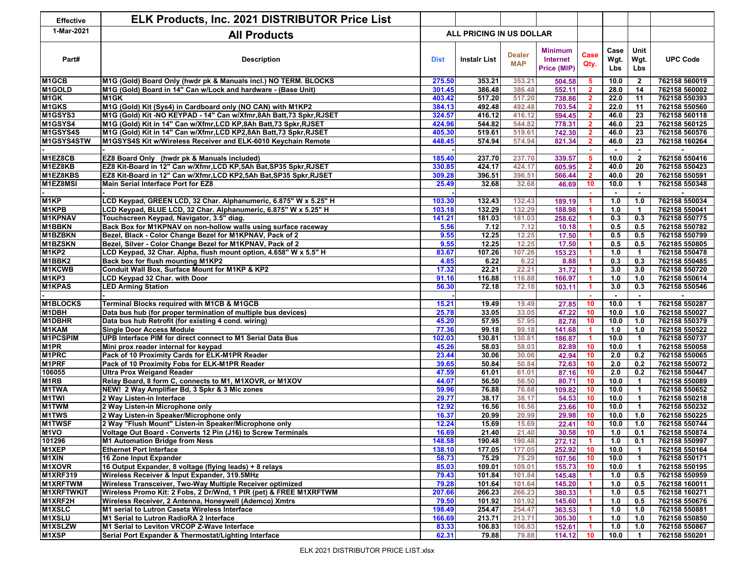| <b>Effective</b>   | <b>ELK Products, Inc. 2021 DISTRIBUTOR Price List</b>               |                          |                     |                             |                                                  |                      |                     |                          |                 |
|--------------------|---------------------------------------------------------------------|--------------------------|---------------------|-----------------------------|--------------------------------------------------|----------------------|---------------------|--------------------------|-----------------|
| 1-Mar-2021         | <b>All Products</b>                                                 | ALL PRICING IN US DOLLAR |                     |                             |                                                  |                      |                     |                          |                 |
| Part#              | <b>Description</b>                                                  | <b>Dist</b>              | <b>Instalr List</b> | <b>Dealer</b><br><b>MAP</b> | <b>Minimum</b><br><b>Internet</b><br>Price (MIP) | Case<br>Qty.         | Case<br>Wgt.<br>Lbs | Unit<br>Wgt.<br>Lbs      | <b>UPC Code</b> |
| M <sub>1</sub> GCB | M1G (Gold) Board Only (hwdr pk & Manuals incl.) NO TERM. BLOCKS     | 275.50                   | 353.21              | 353.21                      | 504.58                                           | 5                    | 10.0                | $\overline{2}$           | 762158 560019   |
| M1GOLD             | M1G (Gold) Board in 14" Can w/Lock and hardware - (Base Unit)       | 301.45                   | 386.48              | 386.48                      | 552.11                                           | $\overline{2}$       | 28.0                | 14                       | 762158 560002   |
| M <sub>1</sub> GK  | M <sub>1</sub> GK                                                   | 403.42                   | 517.20              | 517.20                      | 738.86                                           | $\overline{2}$       | 22.0                | 11                       | 762158 550393   |
| M1GKS              | M1G (Gold) Kit (Sys4) in Cardboard only (NO CAN) with M1KP2         | 384.13                   | 492.48              | 492.48                      | 703.54                                           | $\mathbf{2}$         | 22.0                | $\overline{11}$          | 762158 550560   |
| M1GSYS3            | M1G (Gold) Kit -NO KEYPAD - 14" Can w/Xfmr,8Ah Batt,73 Spkr,RJSET   | 324.57                   | 416.12              | 416.12                      | 594.45                                           | $\overline{2}$       | 46.0                | $\overline{23}$          | 762158 560118   |
| M1GSYS4            | M1G (Gold) Kit in 14" Can w/Xfmr, LCD KP, 8Ah Batt, 73 Spkr, RJSET  | 424.96                   | 544.82              | 544.82                      | 778.31                                           | $\mathbf{2}$         | 46.0                | $\overline{23}$          | 762158 560125   |
| M1GSYS4S           | M1G (Gold) Kit in 14" Can w/Xfmr, LCD KP2, 8Ah Batt, 73 Spkr, RJSET | 405.30                   | 519.61              | 519.61                      | 742.30                                           | $\overline{2}$       | 46.0                | $\overline{23}$          | 762158 560576   |
| M1GSYS4STW         | M1GSYS4S Kit w/Wireless Receiver and ELK-6010 Keychain Remote       | 448.45                   | 574.94              | 574.94                      | 821.34                                           | $\overline{2}$       | 46.0                | 23                       | 762158 160264   |
|                    |                                                                     |                          |                     |                             |                                                  |                      |                     | $\sim$                   |                 |
| M1EZ8CB            | <b>EZ8 Board Only</b> (hwdr pk & Manuals included)                  | 185.40                   | 237.70              | 237.70                      | 339.57                                           | 5                    | 10.0                | $\overline{2}$           | 762158 550416   |
| M1EZ8KB            | EZ8 Kit-Board in 12" Can w/Xfmr,LCD KP,5Ah Bat,SP35 Spkr,RJSET      | 330.85                   | 424.17              | 424.17                      | 605.95                                           | $\overline{2}$       | 40.0                | 20                       | 762158 550423   |
| M1EZ8KBS           | EZ8 Kit-Board in 12" Can w/Xfmr, LCD KP2,5Ah Bat, SP35 Spkr, RJSET  | 309.28                   | 396.51              | 396.51                      | 566.44                                           | $\overline{2}$       | 40.0                | 20                       | 762158 550591   |
| M1EZ8MSI           | Main Serial Interface Port for EZ8                                  | 25.49                    | 32.68               | 32.68                       | 46.69                                            | 10 <sub>1</sub>      | 10.0                | $\overline{1}$           | 762158 550348   |
|                    |                                                                     |                          |                     |                             |                                                  |                      |                     | $\overline{\phantom{a}}$ |                 |
| M <sub>1</sub> KP  | LCD Keypad, GREEN LCD, 32 Char. Alphanumeric, 6.875" W x 5.25" H    | 103.30                   | 132.43              | 132.43                      | 189.19                                           | 1                    | 1.0                 | 1.0                      | 762158 550034   |
| M1KPB              | LCD Keypad, BLUE LCD, 32 Char. Alphanumeric, 6.875" W x 5.25" H     | 103.18                   | 132.29              | 132.29                      | 188.98                                           | -1                   | 1.0                 | $\overline{1}$           | 762158 550041   |
| <b>M1KPNAV</b>     | Touchscreen Keypad, Navigator, 3.5" diag.                           | 141.21                   | 181.03              | 181.03                      | 258.62                                           | -1                   | 0.3                 | 0.3                      | 762158 550775   |
| <b>M1BBKN</b>      | Back Box for M1KPNAV on non-hollow walls using surface raceway      | 5.56                     | 7.12                | 7.12                        | 10.18                                            | -1                   | 0.5                 | 0.5                      | 762158 550782   |
| M1BZBKN            | Bezel, Black - Color Change Bezel for M1KPNAV, Pack of 2            | 9.55                     | 12.25               | 12.25                       | 17.50                                            | 1                    | 0.5                 | 0.5                      | 762158 550799   |
| <b>M1BZSKN</b>     | Bezel, Silver - Color Change Bezel for M1KPNAV, Pack of 2           | 9.55                     | 12.25               | 12.25                       | 17.50                                            |                      | 0.5                 | 0.5                      | 762185 550805   |
| M1KP2              | LCD Keypad, 32 Char. Alpha, flush mount option, 4.658" W x 5.5" H   | 83.67                    | 107.26              | 107.26                      | 153.23                                           |                      | 1.0                 | $\overline{1}$           | 762158 550478   |
| M1BBK2             | Back box for flush mounting M1KP2                                   | 4.85                     | 6.22                | 6.22                        | 8.88                                             | -1                   | 0.3                 | 0.3                      | 762158 550485   |
| <b>M1KCWB</b>      | Conduit Wall Box, Surface Mount for M1KP & KP2                      | 17.32                    | 22.21               | 22.21                       | 31.72                                            | 1                    | 3.0                 | 3.0                      | 762158 550720   |
| M1KP3              | <b>LCD Keypad 32 Char. with Door</b>                                | 91.16                    | 116.88              | 116.88                      | 166.97                                           | 1                    | 1.0                 | 1.0                      | 762158 550614   |
| <b>M1KPAS</b>      | <b>LED Arming Station</b>                                           | 56.30                    | 72.18               | 72.18                       | 103.11                                           | $\blacktriangleleft$ | 3.0                 | 0.3                      | 762158 550546   |
|                    |                                                                     |                          |                     |                             |                                                  |                      |                     |                          |                 |
| <b>M1BLOCKS</b>    | Terminal Blocks required with M1CB & M1GCB                          | 15.21                    | 19.49               | 19.49                       | 27.85                                            | 10                   | 10.0                | $\overline{1}$           | 762158 550287   |
| M1DBH              | Data bus hub (for proper termination of multiple bus devices)       | 25.78                    | 33.05               | 33.05                       | 47.22                                            | 10 <sub>1</sub>      | 10.0                | 1.0                      | 762158 550027   |
| <b>M1DBHR</b>      | Data bus hub Retrofit (for existing 4 cond. wiring)                 | 45.20                    | 57.95               | 57.95                       | 82.78                                            | 10                   | 10.0                | 1.0                      | 762158 550379   |
| M1KAM              | Single Door Access Module                                           | 77.36                    | 99.18               | 99.18                       | 141.68                                           | -1                   | 1.0                 | 1.0                      | 762158 550522   |
| <b>M1PCSPIM</b>    | UPB Interface PIM for direct connect to M1 Serial Data Bus          | 102.03                   | 130.81              | 130.81                      | 186.87                                           | -1                   | 10.0                | $\overline{1}$           | 762158 550737   |
| M <sub>1</sub> PR  | Mini prox reader internal for keypad                                | 45.26                    | 58.03               | 58.03                       | 82.89                                            | 10 <sub>1</sub>      | 10.0                | $\overline{1}$           | 762158 550058   |
| M1PRC              | Pack of 10 Proximity Cards for ELK-M1PR Reader                      | 23.44                    | 30.06               | 30.06                       | 42.94                                            | 10 <sub>1</sub>      | 2.0                 | 0.2                      | 762158 550065   |
| M1PRF              | Pack of 10 Proximity Fobs for ELK-M1PR Reader                       | 39.65                    | 50.84               | 50.84                       | 72.63                                            | 10                   | 2.0                 | 0.2                      | 762158 550072   |
| 106055             | <b>Ultra Prox Weigand Reader</b>                                    | 47.59                    | 61.01               | 61.01                       | 87.16                                            | 10                   | 2.0                 | 0.2                      | 762158 550447   |
| M <sub>1</sub> RB  | Relay Board, 8 form C, connects to M1, M1XOVR, or M1XOV             | 44.07                    | 56.50               | 56.50                       | 80.71                                            | 10                   | 10.0                | $\overline{1}$           | 762158 550089   |
| <b>M1TWA</b>       | NEW! 2 Way Amplifier Bd, 3 Spkr & 3 Mic zones                       | 59.96                    | 76.88               | 76.88                       | 109.82                                           | 10                   | 10.0                | $\overline{1}$           | 762158 550652   |
| <b>M1TWI</b>       | 2 Way Listen-in Interface                                           | 29.77                    | 38.17               | 38.17                       | 54.53                                            | 10                   | 10.0                | $\overline{1}$           | 762158 550218   |
| M1TWM              | 2 Way Listen-in Microphone only                                     | 12.92                    | 16.56               | 16.56                       | 23.66                                            | 10 <sub>1</sub>      | 10.0                | $\overline{1}$           | 762158 550232   |
| <b>M1TWS</b>       | 2 Way Listen-in Speaker/Microphone only                             | 16.37                    | 20.99               | 20.99                       | 29.98                                            | 10                   | 10.0                | 1.0                      | 762158 550225   |
| <b>M1TWSF</b>      | 2 Way "Flush Mount" Listen-in Speaker/Microphone only               | 12.24                    | 15.69               | 15.69                       | 22.41                                            | 10                   | 10.0                | 1.0                      | 762158 550744   |
| M <sub>1</sub> VO  | Voltage Out Board - Converts 12 Pin (J16) to Screw Terminals        | 16.69                    | 21.40               | 21.40                       | 30.58                                            | 10                   | 1.0                 | 0.1                      | 762158 550874   |
| 101296             | M1 Automation Bridge from Ness                                      | 148.58                   | 190.48              | 190.48                      | 272.12                                           | 1                    | 1.0                 | 0.1                      | 762158 550997   |
| M1XEP              | <b>Ethernet Port Interface</b>                                      | 138.10                   | 177.05              | 177.05                      | 252.92                                           | 10                   | 10.0                | $\mathbf{1}$             | 762158 550164   |
| <b>M1XIN</b>       | 16 Zone Input Expander                                              | 58.73                    | 75.29               | 75.29                       | 107.56                                           | 10                   | 10.0                | $\overline{\mathbf{1}}$  | 762158 550171   |
| <b>M1XOVR</b>      | 16 Output Expander, 8 voltage (flying leads) + 8 relays             | 85.03                    | 109.01              | 109.01                      | 155.73                                           | 10                   | 10.0                | $\overline{1}$           | 762158 550195   |
| <b>M1XRF319</b>    | Wireless Receiver & Input Expander, 319.5MHz                        | 79.43                    | 101.84              | 101.84                      | 145.48                                           | $\blacktriangleleft$ | 1.0                 | 0.5                      | 762158 550959   |
| <b>M1XRFTWM</b>    | Wireless Transceiver, Two-Way Multiple Receiver optimized           | 79.28                    | 101.64              | 101.64                      | 145.20                                           | 1                    | 1.0                 | 0.5                      | 762158 160011   |
| <b>M1XRFTWKIT</b>  | Wireless Promo Kit: 2 Fobs, 2 Dr/Wnd, 1 PIR (pet) & FREE M1XRFTWM   | 207.66                   | 266.23              | 266.23                      | 380.33                                           | $\blacktriangleleft$ | 1.0                 | 0.5                      | 762158 160271   |
| M1XRF2H            | Wireless Receiver, 2 Antenna, Honeywell (Ademco) Xmtrs              | 79.50                    | 101.92              | 101.92                      | 145.60                                           | 1                    | 1.0                 | 0.5                      | 762158 550676   |
| <b>M1XSLC</b>      | M1 serial to Lutron Caseta Wireless Interface                       | 198.49                   | 254.47              | 254.47                      | 363.53                                           | 1                    | 1.0                 | 1.0                      | 762158 550881   |
| <b>M1XSLU</b>      | M1 Serial to Lutron RadioRA 2 Interface                             | 166.69                   | 213.71              | 213.71                      | 305.30                                           | 1                    | 1.0                 | 1.0                      | 762158 550850   |
| M1XSLZW            | M1 Serial to Leviton VRCOP Z-Wave Interface                         | 83.33                    | 106.83              | 106.83                      | 152.61                                           | 1                    | 1.0                 | 1.0                      | 762158 550867   |
| M1XSP              | Serial Port Expander & Thermostat/Lighting Interface                | 62.31                    | 79.88               | 79.88                       | 114.12                                           | 10                   | 10.0                | $\overline{1}$           | 762158 550201   |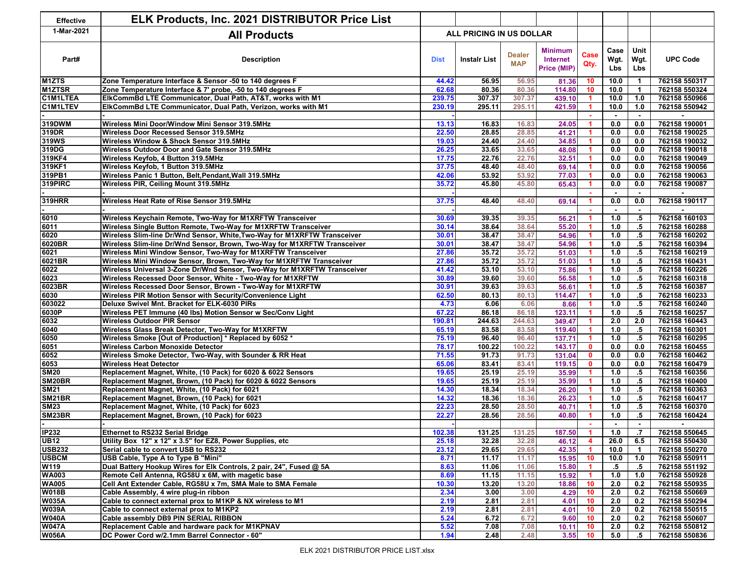| <b>Effective</b>   | ELK Products, Inc. 2021 DISTRIBUTOR Price List                           |                                 |                     |                             |                                           |                      |                          |                                    |                 |
|--------------------|--------------------------------------------------------------------------|---------------------------------|---------------------|-----------------------------|-------------------------------------------|----------------------|--------------------------|------------------------------------|-----------------|
| 1-Mar-2021         | <b>All Products</b>                                                      | <b>ALL PRICING IN US DOLLAR</b> |                     |                             |                                           |                      |                          |                                    |                 |
| Part#              | <b>Description</b>                                                       | <b>Dist</b>                     | <b>Instalr List</b> | <b>Dealer</b><br><b>MAP</b> | <b>Minimum</b><br>Internet<br>Price (MIP) | Case<br>Qty.         | Case<br>Wgt.<br>Lbs      | Unit<br>Wgt.<br>Lbs                | <b>UPC Code</b> |
| M <sub>1</sub> ZTS | Zone Temperature Interface & Sensor -50 to 140 degrees F                 | 44.42                           | 56.95               | 56.95                       | 81.36                                     | 10                   | 10.0                     | $\blacktriangleleft$               | 762158 550317   |
| <b>M1ZTSR</b>      | Zone Temperature Interface & 7' probe, -50 to 140 degrees F              | 62.68                           | 80.36               | 80.36                       | 114.80                                    | 10                   | 10.0                     | $\mathbf{1}$                       | 762158 550324   |
| <b>C1M1LTEA</b>    | ElkCommBd LTE Communicator, Dual Path, AT&T, works with M1               | 239.75                          | 307.37              | 307.37                      | 439.10                                    | 1.                   | 10.0                     | 1.0                                | 762158 550966   |
| <b>C1M1LTEV</b>    | ElkCommBd LTE Communicator, Dual Path, Verizon, works with M1            | 230.19                          | 295.11              | 295.11                      | 421.59                                    | 1                    | 10.0                     | 1.0<br>$\overline{\phantom{a}}$    | 762158 550942   |
| 319DWM             | Wireless Mini Door/Window Mini Sensor 319.5MHz                           | 13.13                           | 16.83               | 16.83                       | 24.05                                     | 1                    | 0.0                      | 0.0                                | 762158 190001   |
| 319DR              | <b>Wireless Door Recessed Sensor 319.5MHz</b>                            | 22.50                           | 28.85               | 28.85                       | 41.21                                     | $\blacktriangleleft$ | 0.0                      | 0.0                                | 762158 190025   |
| 319WS              | Wireless Window & Shock Sensor 319.5MHz                                  | 19.03                           | 24.40               | 24.40                       | 34.85                                     |                      | 0.0                      | 0.0                                | 762158 190032   |
| 319DG              | Wireless Outdoor Door and Gate Sensor 319.5MHz                           | 26.25                           | 33.65               | 33.65                       | 48.08                                     | 1                    | 0.0                      | 0.0                                | 762158 190018   |
| 319KF4             | Wireless Keyfob, 4 Button 319.5MHz                                       | 17.75                           | 22.76               | 22.76                       | 32.51                                     | 1                    | 0.0                      | 0.0                                | 762158 190049   |
| 319KF1             | Wireless Keyfob, 1 Button 319.5MHz                                       | 37.75                           | 48.40               | 48.40                       | 69.14                                     | $\blacktriangleleft$ | 0.0                      | 0.0                                | 762158 190056   |
| 319PB1             | Wireless Panic 1 Button, Belt, Pendant, Wall 319.5MHz                    | 42.06                           | 53.92               | 53.92                       | 77.03                                     | $\blacktriangleleft$ | 0.0                      | 0.0                                | 762158 190063   |
| 319PIRC            | Wireless PIR, Ceiling Mount 319.5MHz                                     | 35.72                           | 45.80               | 45.80                       | 65.43                                     | 1                    | 0.0                      | 0.0                                | 762158 190087   |
|                    |                                                                          |                                 |                     |                             |                                           |                      |                          | $\overline{\phantom{a}}$           |                 |
| <b>319HRR</b>      | Wireless Heat Rate of Rise Sensor 319.5MHz                               | 37.75                           | 48.40               | 48.40                       | 69.14                                     | 1                    | 0.0                      | 0.0                                | 762158 190117   |
| 6010               | Wireless Keychain Remote, Two-Way for M1XRFTW Transceiver                | 30.69                           | 39.35               | 39.35                       | 56.21                                     | 1                    | 1.0                      | $\overline{\phantom{a}}$<br>$.5\,$ | 762158 160103   |
| 6011               | Wireless Single Button Remote, Two-Way for M1XRFTW Transceiver           | 30.14                           | 38.64               | 38.64                       |                                           | 1                    | 1.0                      | $.5\,$                             | 762158 160288   |
|                    | Wireless Slim-line Dr/Wnd Sensor, White, Two-Way for M1XRFTW Transceiver | 30.01                           | 38.47               |                             | 55.20                                     |                      | 1.0                      |                                    | 762158 160202   |
| 6020<br>6020BR     |                                                                          |                                 | 38.47               | 38.47<br>38.47              | 54.96                                     |                      | 1.0                      | $.5\,$                             |                 |
|                    | Wireless Slim-line Dr/Wnd Sensor, Brown, Two-Way for M1XRFTW Transceiver | 30.01                           |                     |                             | 54.96                                     |                      |                          | $.5\,$                             | 762158 160394   |
| 6021               | Wireless Mini Window Sensor, Two-Way for M1XRFTW Transceiver             | 27.86                           | 35.72               | 35.72                       | 51.03                                     |                      | 1.0                      | $.5\,$                             | 762158 160219   |
| 6021BR             | Wireless Mini Window Sensor, Brown, Two-Way for M1XRFTW Transceiver      | 27.86                           | 35.72               | 35.72                       | 51.03                                     | 1                    | 1.0                      | $.5\,$                             | 762158 160431   |
| 6022               | Wireless Universal 3-Zone Dr/Wnd Sensor, Two-Way for M1XRFTW Transceiver | 41.42                           | 53.10               | 53.10                       | 75.86                                     | 1                    | 1.0                      | $.5\,$                             | 762158 160226   |
| 6023               | Wireless Recessed Door Sensor, White - Two-Way for M1XRFTW               | 30.89                           | 39.60               | 39.60                       | 56.58                                     | 1                    | 1.0                      | $.5\,$                             | 762158 160318   |
| 6023BR             | Wireless Recessed Door Sensor, Brown - Two-Way for M1XRFTW               | 30.91                           | 39.63               | 39.63                       | 56.61                                     | $\blacktriangleleft$ | 1.0                      | $.5\,$                             | 762158 160387   |
| 6030               | Wireless PIR Motion Sensor with Security/Convenience Light               | 62.50                           | 80.13               | 80.13                       | 114.47                                    | 1                    | 1.0                      | $.5\,$                             | 762158 160233   |
| 603022             | Deluxe Swivel Mnt. Bracket for ELK-6030 PIRs                             | 4.73                            | 6.06                | 6.06                        | 8.66                                      | 1                    | 1.0                      | $.5\,$                             | 762158 160240   |
| 6030P              | Wireless PET Immune (40 lbs) Motion Sensor w Sec/Conv Light              | 67.22                           | 86.18               | 86.18                       | 123.11                                    | 1                    | 1.0                      | $.5\,$                             | 762158 160257   |
| 6032               | <b>Wireless Outdoor PIR Sensor</b>                                       | 190.81                          | 244.63              | 244.63                      | 349.47                                    | 1                    | 2.0                      | 2.0                                | 762158 160443   |
| 6040               | Wireless Glass Break Detector, Two-Way for M1XRFTW                       | 65.19                           | 83.58               | 83.58                       | 119.40                                    | -1                   | 1.0                      | $.5\,$                             | 762158 160301   |
| 6050               | Wireless Smoke [Out of Production] * Replaced by 6052 *                  | 75.19                           | 96.40               | 96.40                       | 137.71                                    | 1                    | 1.0                      | $.5\,$                             | 762158 160295   |
| 6051               | <b>Wireless Carbon Monoxide Detector</b>                                 | 78.17                           | 100.22              | 100.22                      | 143.17                                    | $\mathbf{0}$         | 0.0                      | 0.0                                | 762158 160455   |
| 6052               | Wireless Smoke Detector, Two-Way, with Sounder & RR Heat                 | 71.55                           | 91.73               | 91.73                       | 131.04                                    | $\mathbf{0}$         | 0.0                      | 0.0                                | 762158 160462   |
| 6053               | <b>Wireless Heat Detector</b>                                            | 65.06                           | 83.41               | 83.41                       | 119.15                                    | $\mathbf{0}$         | 0.0                      | 0.0                                | 762158 160479   |
| <b>SM20</b>        | Replacement Magnet, White, (10 Pack) for 6020 & 6022 Sensors             | 19.65                           | 25.19               | 25.19                       | 35.99                                     | -1                   | 1.0                      | $.5\,$                             | 762158 160356   |
| SM20BR             | Replacement Magnet, Brown, (10 Pack) for 6020 & 6022 Sensors             | 19.65                           | 25.19               | 25.19                       | 35.99                                     | 1                    | 1.0                      | $.5\,$                             | 762158 160400   |
| <b>SM21</b>        | Replacement Magnet, White, (10 Pack) for 6021                            | 14.30                           | 18.34               | 18.34                       | 26.20                                     | 1                    | 1.0                      | .5                                 | 762158 160363   |
| <b>SM21BR</b>      | Replacement Magnet, Brown, (10 Pack) for 6021                            | 14.32                           | 18.36               | 18.36                       | 26.23                                     | 1                    | 1.0                      | $.5\,$                             | 762158 160417   |
| <b>SM23</b>        | Replacement Magnet, White, (10 Pack) for 6023                            | 22.23                           | 28.50               | 28.50                       | 40.71                                     |                      | 1.0                      | $.5\,$                             | 762158 160370   |
| SM23BR             | Replacement Magnet, Brown, (10 Pack) for 6023                            | 22.27                           | 28.56               | 28.56                       | 40.80                                     | -1                   | 1.0                      | $.5\,$                             | 762158 160424   |
|                    |                                                                          |                                 |                     |                             |                                           |                      | $\overline{\phantom{a}}$ | $\blacksquare$                     |                 |
| <b>IP232</b>       | Ethernet to RS232 Serial Bridge                                          | 102.38                          | 131.25              | 131.25                      | 187.50                                    | $\blacktriangleleft$ | 1.0                      | .7                                 | 762158 550645   |
| <b>UB12</b>        | Utility Box 12" x 12" x 3.5" for EZ8, Power Supplies, etc                | 25.18                           | 32.28               | 32.28                       | 46.12                                     | 4                    | 26.0                     | 6.5                                | 762158 550430   |
| <b>USB232</b>      | Serial cable to convert USB to RS232                                     | 23.12                           | 29.65               | 29.65                       | 42.35                                     |                      | 10.0                     | $\overline{1}$                     | 762158 550270   |
| <b>USBCM</b>       | USB Cable, Type A to Type B "Mini"                                       | 8.71                            | 11.17               | 11.17                       | 15.95                                     | 10                   | 10.0                     | 1.0                                | 762158 550911   |
| W119               | Dual Battery Hookup Wires for Elk Controls, 2 pair, 24", Fused @ 5A      | 8.63                            | 11.06               | 11.06                       | 15.80                                     |                      | $.5\,$                   | $.5\,$                             | 762158 551192   |
| <b>WA003</b>       | Remote Cell Antenna, RG58U x 6M, with magetic base                       | 8.69                            | 11.15               | 11.15                       | 15.92                                     | 1                    | 1.0                      | 1.0                                | 762158 550928   |
| <b>WA005</b>       | Cell Ant Extender Cable, RG58U x 7m, SMA Male to SMA Female              | 10.30                           | 13.20               | 13.20                       | 18.86                                     | 10                   | 2.0                      | 0.2                                | 762158 550935   |
| <b>W018B</b>       | Cable Assembly, 4 wire plug-in ribbon                                    | 2.34                            | 3.00                | 3.00                        | 4.29                                      | 10                   | 2.0                      | 0.2                                | 762158 550669   |
| <b>W035A</b>       | Cable to connect external prox to M1KP & NX wireless to M1               | 2.19                            | 2.81                | 2.81                        | 4.01                                      | 10                   | 2.0                      | 0.2                                | 762158 550294   |
| <b>W039A</b>       | Cable to connect external prox to M1KP2                                  | 2.19                            | 2.81                | 2.81                        | 4.01                                      | 10                   | 2.0                      | 0.2                                | 762158 550515   |
| <b>W040A</b>       | Cable assembly DB9 PIN SERIAL RIBBON                                     | 5.24                            | 6.72                | 6.72                        | 9.60                                      | 10                   | 2.0                      | 0.2                                | 762158 550607   |
| <b>W047A</b>       | Replacement Cable and hardware pack for M1KPNAV                          | 5.52                            | 7.08                | 7.08                        | 10.11                                     | 10                   | 2.0                      | 0.2                                | 762158 550812   |
| <b>W056A</b>       | DC Power Cord w/2.1mm Barrel Connector - 60"                             | 1.94                            | 2.48                | 2.48                        | 3.55                                      | 10                   | 5.0                      | $.5\,$                             | 762158 550836   |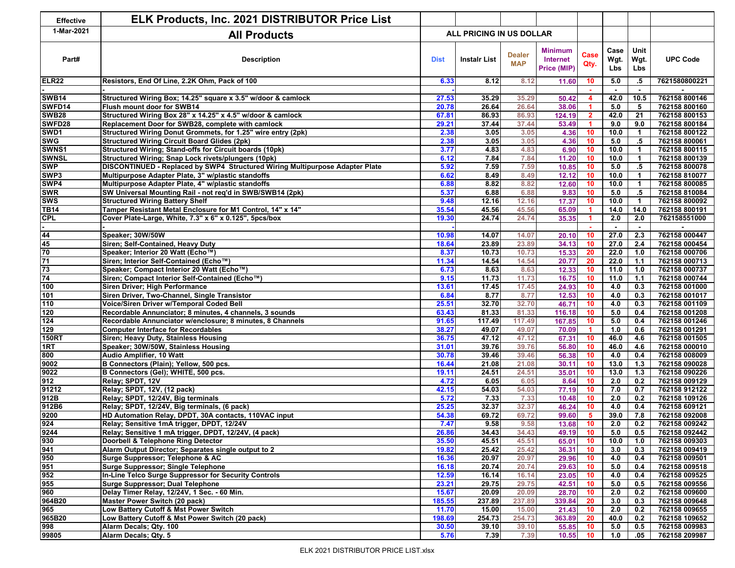| <b>Effective</b>    | <b>ELK Products, Inc. 2021 DISTRIBUTOR Price List</b>                                                          |                          |                |                             |                                           |                      |                          |                          |                                |
|---------------------|----------------------------------------------------------------------------------------------------------------|--------------------------|----------------|-----------------------------|-------------------------------------------|----------------------|--------------------------|--------------------------|--------------------------------|
| 1-Mar-2021          | <b>All Products</b>                                                                                            | ALL PRICING IN US DOLLAR |                |                             |                                           |                      |                          |                          |                                |
| Part#               | <b>Description</b>                                                                                             | <b>Dist</b>              | Instalr List   | <b>Dealer</b><br><b>MAP</b> | <b>Minimum</b><br>Internet<br>Price (MIP) | Case<br>Qty.         | Case<br>Wgt.<br>Lbs      | Unit<br>Wgt.<br>Lbs      | <b>UPC Code</b>                |
| <b>ELR22</b>        | Resistors, End Of Line, 2.2K Ohm, Pack of 100                                                                  | 6.33                     | 8.12           | 8.12                        | 11.60                                     | 10                   | 5.0                      | .5                       | 7621580800221                  |
|                     |                                                                                                                |                          |                |                             |                                           |                      | $\overline{\phantom{a}}$ | $\blacksquare$           |                                |
| <b>SWB14</b>        | Structured Wiring Box; 14.25" square x 3.5" w/door & camlock                                                   | 27.53                    | 35.29          | 35.29                       | 50.42                                     | $\blacktriangleleft$ | 42.0                     | 10.5                     | 762158 800146                  |
| SWFD14              | Flush mount door for SWB14                                                                                     | 20.78                    | 26.64          | 26.64                       | 38.06                                     | 1                    | 5.0                      | 5                        | 762158 800160                  |
| <b>SWB28</b>        | Structured Wiring Box 28" x 14.25" x 4.5" w/door & camlock                                                     | 67.81                    | 86.93          | 86.93                       | 124.19                                    | $\overline{2}$       | 42.0                     | $\overline{21}$          | 762158 800153                  |
| SWFD28              | Replacement Door for SWB28, complete with camlock                                                              | 29.21                    | 37.44          | 37.44                       | 53.49                                     | -1                   | 9.0                      | 9.0                      | 762158 800184                  |
| SWD1                | Structured Wiring Donut Grommets, for 1.25" wire entry (2pk)                                                   | 2.38                     | 3.05           | 3.05                        | 4.36                                      | 10<br>10             | 10.0                     | $\overline{\mathbf{1}}$  | 762158 800122<br>762158 800061 |
| <b>SWG</b><br>SWNS1 | <b>Structured Wiring Circuit Board Glides (2pk)</b><br>Structured Wiring; Stand-offs for Circuit boards (10pk) | 2.38<br>3.77             | 3.05<br>4.83   | 3.05<br>4.83                | 4.36<br>6.90                              | 10 <sup>1</sup>      | 5.0<br>10.0              | $.5\,$<br>$\overline{1}$ | 762158 800115                  |
| <b>SWNSL</b>        | Structured Wiring; Snap Lock rivets/plungers (10pk)                                                            | 6.12                     | 7.84           | 7.84                        | 11.20                                     | 10 <sub>1</sub>      | 10.0                     | $\overline{1}$           | 762158 800139                  |
| <b>SWP</b>          | DISCONTINUED - Replaced by SWP4 Structured Wiring Multipurpose Adapter Plate                                   | 5.92                     | 7.59           | 7.59                        | 10.85                                     | 10                   | $5.0$                    | $.5\,$                   | 762158 800078                  |
| SWP3                | Multipurpose Adapter Plate, 3" w/plastic standoffs                                                             | 6.62                     | 8.49           | 8.49                        | 12.12                                     | 10                   | 10.0                     | $\mathbf{1}$             | 762158 810077                  |
| SWP4                | Multipurpose Adapter Plate, 4" w/plastic standoffs                                                             | 6.88                     | 8.82           | 8.82                        | 12.60                                     | 10                   | 10.0                     | $\overline{1}$           | 762158 800085                  |
| <b>SWR</b>          | SW Universal Mounting Rail - not req'd in SWB/SWB14 (2pk)                                                      | 5.37                     | 6.88           | 6.88                        | 9.83                                      | 10                   | 5.0                      | .5                       | 762158 810084                  |
| <b>SWS</b>          | <b>Structured Wiring Battery Shelf</b>                                                                         | 9.48                     | 12.16          | 12.16                       | 17.37                                     | 10                   | 10.0                     | $\mathbf{1}$             | 762158 800092                  |
| <b>TB14</b>         | Tamper Resistant Metal Enclosure for M1 Control, 14" x 14"                                                     | 35.54                    | 45.56          | 45.56                       | 65.09                                     |                      | 14.0                     | 14.0                     | 762158 800191                  |
| <b>CPL</b>          | Cover Plate-Large, White, 7.3" x 6" x 0.125", 5pcs/box                                                         | 19.30                    | 24.74          | 24.74                       | 35.35                                     | 1                    | 2.0                      | 2.0                      | 762158551000                   |
|                     |                                                                                                                |                          |                |                             |                                           |                      | $\blacksquare$           | $\overline{a}$           |                                |
| 44                  | Speaker: 30W/50W                                                                                               | 10.98                    | 14.07          | 14.07                       | 20.10                                     | 10                   | 27.0                     | 2.3                      | 762158 000447                  |
|                     | Siren; Self-Contained, Heavy Duty                                                                              | 18.64                    | 23.89          | 23.89                       | 34.13                                     | 10                   | 27.0                     | 2.4                      | 762158 000454                  |
|                     | Speaker; Interior 20 Watt (Echo™)                                                                              | 8.37                     | 10.73          | 10.73                       | 15.33                                     | 20                   | 22.0                     | 1.0                      | 762158 000706                  |
| $\frac{45}{70}$     | Siren; Interior Self-Contained (Echo™)                                                                         | 11.34                    | 14.54          | 14.54                       | 20.77                                     | 20                   | 22.0                     | $1.1$                    | 762158 000713                  |
| 73                  | Speaker; Compact Interior 20 Watt (Echo™)                                                                      | 6.73                     | 8.63           | 8.63                        | 12.33                                     | 10                   | 11.0                     | 1.0                      | 762158 000737                  |
| 74                  | Siren; Compact Interior Self-Contained (Echo™)                                                                 | 9.15                     | 11.73          | 11.73                       | 16.75                                     | 10                   | 11.0                     | 1.1                      | 762158 000744                  |
| 100                 | Siren Driver; High Performance                                                                                 | 13.61                    | 17.45          | 17.45                       | 24.93                                     | 10                   | 4.0                      | 0.3                      | 762158 001000                  |
| 101                 | Siren Driver, Two-Channel, Single Transistor                                                                   | 6.84                     | 8.77           | 8.77                        | 12.53                                     | 10                   | 4.0                      | 0.3                      | 762158 001017                  |
| 110                 | Voice/Siren Driver w/Temporal Coded Bell                                                                       | 25.51                    | 32.70          | 32.70                       | 46.71                                     | 10                   | 4.0                      | 0.3                      | 762158 001109                  |
| 120                 | Recordable Annunciator; 8 minutes, 4 channels, 3 sounds                                                        | 63.43                    | 81.33          | 81.33                       | 116.18                                    | 10                   | 5.0                      | 0.4                      | 762158 001208                  |
| 124                 | Recordable Annunciator w/enclosure; 8 minutes, 8 Channels                                                      | 91.65                    | 117.49         | 117.49                      | 167.85                                    | 10                   | 5.0                      | 0.4                      | 762158 001246                  |
| 129                 | <b>Computer Interface for Recordables</b>                                                                      | 38.27                    | 49.07          | 49.07                       | 70.09                                     | $\blacktriangleleft$ | 1.0                      | 0.6                      | 762158 001291                  |
| <b>150RT</b>        | Siren; Heavy Duty, Stainless Housing                                                                           | 36.75                    | 47.12          | 47.12                       | 67.31                                     | 10                   | 46.0                     | 4.6                      | 762158 001505                  |
| 1RT                 | Speaker; 30W/50W, Stainless Housing                                                                            | 31.01                    | 39.76          | 39.76                       | 56.80                                     | 10                   | 46.0                     | 4.6                      | 762158 000010                  |
| 800                 | Audio Amplifier, 10 Watt                                                                                       | 30.78                    | 39.46          | 39.46                       | 56.38                                     | 10 <sup>1</sup>      | 4.0                      | 0.4                      | 762158 008009                  |
| 9002                | B Connectors (Plain); Yellow, 500 pcs.                                                                         | 16.44                    | 21.08          | 21.08                       | 30.11                                     | 10 <sup>1</sup>      | 13.0                     | 1.3                      | 762158 090028                  |
| 9022                | B Connectors (Gel); WHITE, 500 pcs.                                                                            | 19.11                    | 24.51          | 24.51                       | 35.01                                     | 10                   | 13.0                     | 1.3                      | 762158 090226                  |
| 912                 | Relay; SPDT, 12V                                                                                               | 4.72                     | 6.05           | 6.05                        | 8.64                                      | 10                   | 2.0                      | 0.2                      | 762158 009129                  |
| 91212               | Relay; SPDT, 12V, (12 pack)                                                                                    | 42.15                    | 54.03          | 54.03                       | 77.19                                     | 10                   | 7.0                      | 0.7                      | 762158 912122                  |
| 912B                | Relay; SPDT, 12/24V, Big terminals                                                                             | 5.72<br>25.25            | 7.33           | 7.33                        | 10.48                                     | 10                   | 2.0                      | 0.2                      | 762158 109126                  |
| 912B6<br>9200       | Relay; SPDT, 12/24V, Big terminals, (6 pack)<br>HD Automation Relay, DPDT, 30A contacts, 110VAC input          | 54.38                    | 32.37<br>69.72 | 32.37<br>69.72              | 46.24                                     | 10<br>5              | 4.0<br>39.0              | 0.4<br>7.8               | 762158 609121<br>762158 092008 |
| 924                 | Relay; Sensitive 1mA trigger, DPDT, 12/24V                                                                     | 7.47                     | 9.58           | 9.58                        | 99.60<br>13.68                            | 10 <sup>°</sup>      | 2.0                      | 0.2                      | 762158 009242                  |
| 9244                | Relay; Sensitive 1 mA trigger, DPDT, 12/24V, (4 pack)                                                          | 26.86                    | 34.43          | 34.43                       | 49.19                                     | 10                   | 5.0                      | 0.5                      | 762158 092442                  |
| 930                 | Doorbell & Telephone Ring Detector                                                                             | 35.50                    | 45.51          | 45.51                       | 65.01                                     | 10                   | 10.0                     | 1.0                      | 762158 009303                  |
| 941                 | Alarm Output Director; Separates single output to 2                                                            | 19.82                    | 25.42          | 25.42                       | 36.31                                     | 10                   | 3.0                      | 0.3                      | 762158 009419                  |
| 950                 | Surge Suppressor; Telephone & AC                                                                               | 16.36                    | 20.97          | 20.97                       | 29.96                                     | 10                   | 4.0                      | 0.4                      | 762158 009501                  |
| 951                 | <b>Surge Suppressor; Single Telephone</b>                                                                      | 16.18                    | 20.74          | 20.74                       | 29.63                                     | 10                   | 5.0                      | 0.4                      | 762158 009518                  |
| 952                 | In-Line Telco Surge Suppressor for Security Controls                                                           | 12.59                    | 16.14          | 16.14                       | 23.05                                     | 10                   | 4.0                      | 0.4                      | 762158 009525                  |
| 955                 | Surge Suppressor; Dual Telephone                                                                               | 23.21                    | 29.75          | 29.75                       | 42.51                                     | 10                   | 5.0                      | 0.5                      | 762158 009556                  |
| 960                 | Delay Timer Relay, 12/24V, 1 Sec. - 60 Min.                                                                    | 15.67                    | 20.09          | 20.09                       | 28.70                                     | 10                   | 2.0                      | 0.2                      | 762158 009600                  |
| 964B20              | Master Power Switch (20 pack)                                                                                  | 185.55                   | 237.89         | 237.89                      | 339.84                                    | 20                   | 3.0                      | 0.3                      | 762158 009648                  |
| 965                 | Low Battery Cutoff & Mst Power Switch                                                                          | 11.70                    | 15.00          | 15.00                       | 21.43                                     | 10                   | 2.0                      | 0.2                      | 762158 009655                  |
| 965B20              | Low Battery Cutoff & Mst Power Switch (20 pack)                                                                | 198.69                   | 254.73         | 254.73                      | 363.89                                    | 20                   | 40.0                     | 0.2                      | 762158 109652                  |
| 998                 | Alarm Decals; Qty. 100                                                                                         | 30.50                    | 39.10          | 39.10                       | 55.85                                     | 10                   | 5.0                      | 0.5                      | 762158 009983                  |
| 99805               | Alarm Decals; Qty. 5                                                                                           | 5.76                     | 7.39           | 7.39                        | 10.55                                     | 10                   | 1.0                      | .05                      | 762158 209987                  |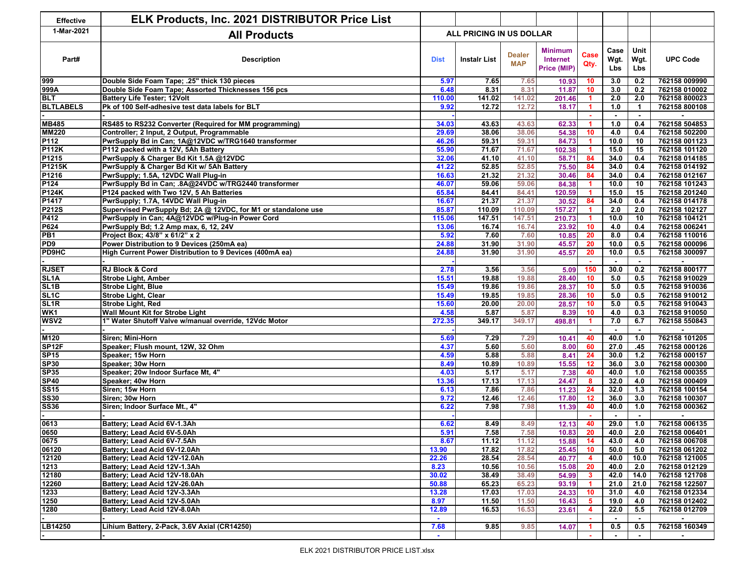| <b>Effective</b>                   | <b>ELK Products, Inc. 2021 DISTRIBUTOR Price List</b>                        |                          |                  |                             |                                           |                      |                            |                                          |                                |
|------------------------------------|------------------------------------------------------------------------------|--------------------------|------------------|-----------------------------|-------------------------------------------|----------------------|----------------------------|------------------------------------------|--------------------------------|
| 1-Mar-2021                         | <b>All Products</b>                                                          | ALL PRICING IN US DOLLAR |                  |                             |                                           |                      |                            |                                          |                                |
| Part#                              | <b>Description</b>                                                           | <b>Dist</b>              | Instalr List     | <b>Dealer</b><br><b>MAP</b> | <b>Minimum</b><br>Internet<br>Price (MIP) | Case<br>Qty.         | Case<br>Wgt.<br><b>Lbs</b> | Unit<br>Wgt.<br>Lbs                      | <b>UPC Code</b>                |
| 999                                | Double Side Foam Tape: .25" thick 130 pieces                                 | 5.97                     | 7.65             | 7.65                        | 10.93                                     | 10                   | 3.0                        | 0.2                                      | 762158 009990                  |
| 999A                               | Double Side Foam Tape; Assorted Thicknesses 156 pcs                          | 6.48                     | 8.31             | 8.31                        | 11.87                                     | 10                   | 3.0                        | 0.2                                      | 762158 010002                  |
| <b>BLT</b>                         | <b>Battery Life Tester; 12Volt</b>                                           | 110.00                   | 141.02           | 141.02                      | 201.46                                    | $\blacktriangleleft$ | 2.0                        | 2.0                                      | 762158 800023                  |
| <b>BLTLABELS</b>                   | Pk of 100 Self-adhesive test data labels for BLT                             | 9.92                     | 12.72            | 12.72                       | 18.17                                     | 1                    | 1.0                        | $\mathbf{1}$<br>$\overline{\phantom{a}}$ | 762158 800108                  |
| <b>MB485</b>                       | RS485 to RS232 Converter (Required for MM programming)                       | 34.03                    | 43.63            | 43.63                       | 62.33                                     | 1                    | 1.0                        | 0.4                                      | 762158 504853                  |
| <b>MM220</b>                       | Controller; 2 Input, 2 Output, Programmable                                  | 29.69                    | 38.06            | 38.06                       | 54.38                                     | 10 <sub>1</sub>      | 4.0                        | 0.4                                      | 762158 502200                  |
| P112                               | PwrSupply Bd in Can; 1A@12VDC w/TRG1640 transformer                          | 46.26                    | 59.31            | 59.31                       | 84.73                                     | 1.                   | 10.0                       | 10                                       | 762158 001123                  |
| <b>P112K</b>                       | P112 packed with a 12V, 5Ah Battery                                          | 55.90                    | 71.67            | 71.67                       | 102.38                                    | 1                    | 15.0                       | 15                                       | 762158 101120                  |
| P1215                              | PwrSupply & Charger Bd Kit 1.5A @12VDC                                       | 32.06                    | 41.10            | 41.10                       | 58.71                                     | 84                   | 34.0                       | 0.4                                      | 762158 014185                  |
| P1215K                             | PwrSupply & Charger Bd Kit w/ 5Ah Battery                                    | 41.22                    | 52.85            | 52.85                       | 75.50                                     | 84                   | 34.0                       | 0.4                                      | 762158 014192                  |
| P1216                              | PwrSupply; 1.5A, 12VDC Wall Plug-in                                          | 16.63                    | 21.32            | 21.32                       | 30.46                                     | 84                   | 34.0                       | 0.4                                      | 762158 012167                  |
| P124                               | PwrSupply Bd in Can; .8A@24VDC w/TRG2440 transformer                         | 46.07                    | 59.06            | 59.06                       | 84.38                                     |                      | 10.0                       | 10                                       | 762158 101243                  |
| <b>P124K</b>                       | P124 packed with Two 12V, 5 Ah Batteries                                     | 65.84                    | 84.41            | 84.41                       | 120.59                                    |                      | 15.0                       | 15                                       | 762158 201240                  |
| P1417                              |                                                                              | 16.67                    | 21.37            | 21.37                       |                                           | 84                   | 34.0                       | 0.4                                      | 762158 014178                  |
| P212S                              | PwrSupply; 1.7A, 14VDC Wall Plug-in                                          | 85.87                    |                  |                             | 30.52                                     |                      |                            | 2.0                                      | 762158 102127                  |
| P412                               | Supervised PwrSupply Bd; 2A @ 12VDC, for M1 or standalone use                | 115.06                   | 110.09<br>147.51 | 110.09<br>147.51            | 157.27                                    | 1<br>1               | 2.0<br>10.0                | 10                                       | 762158 104121                  |
|                                    | PwrSupply in Can; 4A@12VDC w/Plug-in Power Cord                              |                          | 16.74            |                             | 210.73                                    | 10                   | 4.0                        |                                          | 762158 006241                  |
| P624                               | PwrSupply Bd; 1.2 Amp max, 6, 12, 24V                                        | 13.06                    |                  | 16.74                       | 23.92                                     |                      |                            | 0.4                                      |                                |
| PB <sub>1</sub><br>PD <sub>9</sub> | Project Box; 43/8" x 61/2" x 2<br>Power Distribution to 9 Devices (250mA ea) | 5.92                     | 7.60             | 7.60                        | 10.85                                     | 20<br>20             | 8.0<br>10.0                | 0.4                                      | 762158 110016<br>762158 000096 |
|                                    |                                                                              | 24.88                    | 31.90            | 31.90                       | 45.57                                     |                      |                            | 0.5                                      |                                |
| <b>PD9HC</b>                       | High Current Power Distribution to 9 Devices (400mA ea)                      | 24.88                    | 31.90            | 31.90                       | 45.57                                     | 20                   | 10.0                       | 0.5                                      | 762158 300097                  |
|                                    |                                                                              |                          |                  |                             |                                           |                      |                            |                                          |                                |
| <b>RJSET</b>                       | <b>RJ Block &amp; Cord</b>                                                   | 2.78                     | 3.56             | 3.56                        | 5.09                                      | 150                  | 30.0                       | 0.2                                      | 762158 800177                  |
| SL <sub>1</sub> A                  | <b>Strobe Light, Amber</b>                                                   | 15.51                    | 19.88            | 19.88                       | 28.40                                     | 10                   | 5.0                        | 0.5                                      | 762158 910029                  |
| SL <sub>1</sub> B                  | <b>Strobe Light, Blue</b>                                                    | 15.49                    | 19.86            | 19.86                       | 28.37                                     | 10                   | 5.0                        | 0.5                                      | 762158 910036                  |
| SL <sub>1C</sub>                   | <b>Strobe Light, Clear</b>                                                   | 15.49                    | 19.85            | 19.85                       | 28.36                                     | 10                   | 5.0                        | 0.5                                      | 762158 910012                  |
| SL <sub>1R</sub>                   | <b>Strobe Light, Red</b>                                                     | 15.60                    | 20.00            | 20.00                       | 28.57                                     | 10                   | 5.0                        | 0.5                                      | 762158 910043                  |
| WK <sub>1</sub>                    | Wall Mount Kit for Strobe Light                                              | 4.58                     | 5.87             | 5.87                        | 8.39                                      | 10                   | 4.0                        | 0.3                                      | 762158 910050                  |
| WSV <sub>2</sub>                   | 1" Water Shutoff Valve w/manual override, 12Vdc Motor                        | 272.35                   | 349.17           | 349.17                      | 498.81                                    | $\blacktriangleleft$ | 7.0                        | 6.7                                      | 762158 550843                  |
|                                    |                                                                              |                          |                  |                             |                                           |                      |                            |                                          |                                |
| M120                               | Siren; Mini-Horn                                                             | 5.69                     | 7.29             | 7.29                        | 10.41                                     | 40                   | 40.0                       | 1.0                                      | 762158 101205                  |
| SP <sub>12F</sub>                  | Speaker; Flush mount, 12W, 32 Ohm                                            | 4.37                     | 5.60             | 5.60                        | 8.00                                      | 60                   | 27.0                       | .45                                      | 762158 000126                  |
| <b>SP15</b>                        | Speaker; 15w Horn                                                            | 4.59                     | 5.88             | 5.88                        | 8.41                                      | 24                   | 30.0                       | $1.2$                                    | 762158 000157                  |
| <b>SP30</b>                        | Speaker; 30w Horn                                                            | 8.49                     | 10.89            | 10.89                       | 15.55                                     | 12                   | 36.0                       | 3.0                                      | 762158 000300                  |
| <b>SP35</b>                        | Speaker; 20w Indoor Surface Mt, 4"                                           | 4.03                     | 5.17             | 5.17                        | 7.38                                      | 40                   | 40.0                       | 1.0                                      | 762158 000355                  |
| <b>SP40</b>                        | Speaker; 40w Horn                                                            | 13.36                    | 17.13            | 17.13                       | 24.47                                     | 8                    | 32.0                       | 4.0                                      | 762158 000409                  |
| <b>SS15</b>                        | Siren; 15w Horn                                                              | 6.13                     | 7.86             | 7.86                        | 11.23                                     | 24                   | 32.0                       | 1.3                                      | 762158 100154                  |
| <b>SS30</b>                        | Siren; 30w Horn                                                              | 9.72                     | 12.46            | 12.46                       | 17.80                                     | 12                   | 36.0                       | 3.0                                      | 762158 100307                  |
| <b>SS36</b>                        | Siren; Indoor Surface Mt., 4"                                                | 6.22                     | 7.98             | 7.98                        | 11.39                                     | 40                   | 40.0                       | 1.0                                      | 762158 000362                  |
|                                    |                                                                              |                          |                  |                             |                                           | $\sim$               |                            | $\sim$                                   |                                |
| 0613                               | Battery; Lead Acid 6V-1.3Ah                                                  | 6.62                     | 8.49             | 8.49                        | 12.13                                     | 40                   | 29.0                       | 1.0                                      | 762158 006135                  |
| 0650                               | Battery; Lead Acid 6V-5.0Ah                                                  | 5.91                     | 7.58             | 7.58                        | 10.83                                     | 20                   | 40.0                       | 2.0                                      | 762158 006401                  |
| 0675                               | Battery; Lead Acid 6V-7.5Ah                                                  | 8.67                     | 11.12            | 11.12                       | 15.88                                     | 14                   | 43.0                       | 4.0                                      | 762158 006708                  |
| 06120                              | Battery; Lead Acid 6V-12.0Ah                                                 | 13.90                    | 17.82            | 17.82                       | 25.45                                     | 10                   | 50.0                       | 5.0                                      | 762158 061202                  |
| 12120                              | Battery; Lead Acid 12V-12.0Ah                                                | 22.26                    | 28.54            | 28.54                       | 40.77                                     | 4                    | 40.0                       | 10.0                                     | 762158 121005                  |
| 1213                               | Battery; Lead Acid 12V-1.3Ah                                                 | 8.23                     | 10.56            | 10.56                       | 15.08                                     | 20                   | 40.0                       | 2.0                                      | 762158 012129                  |
| 12180                              | Battery: Lead Acid 12V-18.0Ah                                                | 30.02                    | 38.49            | 38.49                       | 54.99                                     | 3                    | 42.0                       | 14.0                                     | 762158 121708                  |
| 12260                              | Battery; Lead Acid 12V-26.0Ah                                                | 50.88                    | 65.23            | 65.23                       | 93.19                                     | -1                   | 21.0                       | 21.0                                     | 762158 122507                  |
| 1233                               | Battery; Lead Acid 12V-3.3Ah                                                 | 13.28                    | 17.03            | 17.03                       | 24.33                                     | 10                   | 31.0                       | 4.0                                      | 762158 012334                  |
| 1250                               | Battery; Lead Acid 12V-5.0Ah                                                 | 8.97                     | 11.50            | 11.50                       | 16.43                                     | 5                    | 19.0                       | 4.0                                      | 762158 012402                  |
| 1280                               | Battery; Lead Acid 12V-8.0Ah                                                 | 12.89                    | 16.53            | 16.53                       | 23.61                                     | 4                    | 22.0                       | 5.5                                      | 762158 012709                  |
| LB14250                            | Lihium Battery, 2-Pack, 3.6V Axial (CR14250)                                 | $\sim$<br>7.68           | 9.85             | 9.85                        | 14.07                                     | $\blacktriangleleft$ | 0.5                        | $\overline{\phantom{a}}$<br>0.5          | 762158 160349                  |
|                                    |                                                                              | $\sim$                   |                  |                             |                                           |                      |                            |                                          |                                |
|                                    |                                                                              |                          |                  |                             |                                           |                      |                            |                                          |                                |